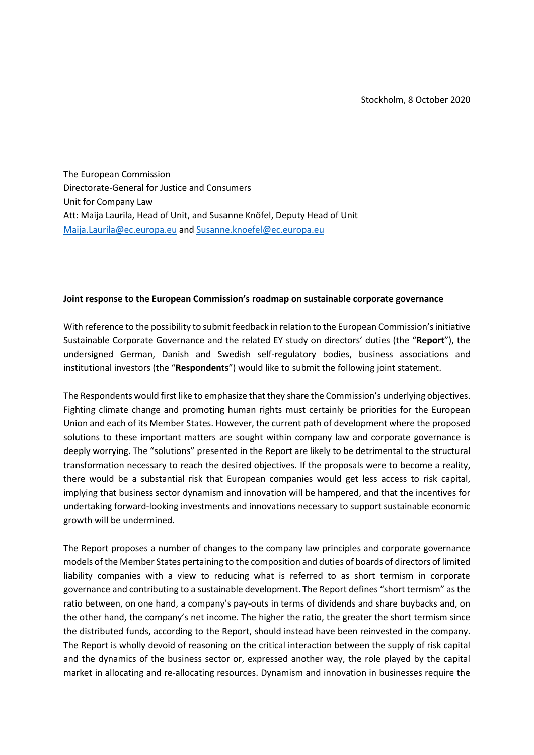The European Commission Directorate-General for Justice and Consumers Unit for Company Law Att: Maija Laurila, Head of Unit, and Susanne Knöfel, Deputy Head of Unit [Maija.Laurila@ec.europa.eu](mailto:Maija.Laurila@ec.europa.eu) and [Susanne.knoefel@ec.europa.eu](mailto:Susanne.KNOEFEL@ec.europa.eu)

## **Joint response to the European Commission's roadmap on sustainable corporate governance**

With reference to the possibility to submit feedback in relation to the European Commission's initiative Sustainable Corporate Governance and the related EY study on directors' duties (the "**Report**"), the undersigned German, Danish and Swedish self-regulatory bodies, business associations and institutional investors (the "**Respondents**") would like to submit the following joint statement.

The Respondents would first like to emphasize that they share the Commission's underlying objectives. Fighting climate change and promoting human rights must certainly be priorities for the European Union and each of its Member States. However, the current path of development where the proposed solutions to these important matters are sought within company law and corporate governance is deeply worrying. The "solutions" presented in the Report are likely to be detrimental to the structural transformation necessary to reach the desired objectives. If the proposals were to become a reality, there would be a substantial risk that European companies would get less access to risk capital, implying that business sector dynamism and innovation will be hampered, and that the incentives for undertaking forward-looking investments and innovations necessary to support sustainable economic growth will be undermined.

The Report proposes a number of changes to the company law principles and corporate governance models of the Member States pertaining to the composition and duties of boards of directors of limited liability companies with a view to reducing what is referred to as short termism in corporate governance and contributing to a sustainable development. The Report defines "short termism" as the ratio between, on one hand, a company's pay-outs in terms of dividends and share buybacks and, on the other hand, the company's net income. The higher the ratio, the greater the short termism since the distributed funds, according to the Report, should instead have been reinvested in the company. The Report is wholly devoid of reasoning on the critical interaction between the supply of risk capital and the dynamics of the business sector or, expressed another way, the role played by the capital market in allocating and re-allocating resources. Dynamism and innovation in businesses require the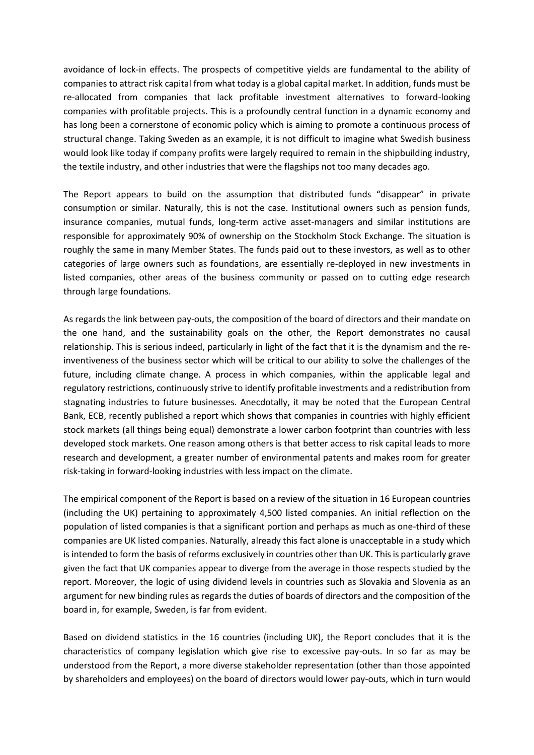avoidance of lock-in effects. The prospects of competitive yields are fundamental to the ability of companies to attract risk capital from what today is a global capital market. In addition, funds must be re-allocated from companies that lack profitable investment alternatives to forward-looking companies with profitable projects. This is a profoundly central function in a dynamic economy and has long been a cornerstone of economic policy which is aiming to promote a continuous process of structural change. Taking Sweden as an example, it is not difficult to imagine what Swedish business would look like today if company profits were largely required to remain in the shipbuilding industry, the textile industry, and other industries that were the flagships not too many decades ago.

The Report appears to build on the assumption that distributed funds "disappear" in private consumption or similar. Naturally, this is not the case. Institutional owners such as pension funds, insurance companies, mutual funds, long-term active asset-managers and similar institutions are responsible for approximately 90% of ownership on the Stockholm Stock Exchange. The situation is roughly the same in many Member States. The funds paid out to these investors, as well as to other categories of large owners such as foundations, are essentially re-deployed in new investments in listed companies, other areas of the business community or passed on to cutting edge research through large foundations.

As regards the link between pay-outs, the composition of the board of directors and their mandate on the one hand, and the sustainability goals on the other, the Report demonstrates no causal relationship. This is serious indeed, particularly in light of the fact that it is the dynamism and the reinventiveness of the business sector which will be critical to our ability to solve the challenges of the future, including climate change. A process in which companies, within the applicable legal and regulatory restrictions, continuously strive to identify profitable investments and a redistribution from stagnating industries to future businesses. Anecdotally, it may be noted that the European Central Bank, ECB, recently published a report which shows that companies in countries with highly efficient stock markets (all things being equal) demonstrate a lower carbon footprint than countries with less developed stock markets. One reason among others is that better access to risk capital leads to more research and development, a greater number of environmental patents and makes room for greater risk-taking in forward-looking industries with less impact on the climate.

The empirical component of the Report is based on a review of the situation in 16 European countries (including the UK) pertaining to approximately 4,500 listed companies. An initial reflection on the population of listed companies is that a significant portion and perhaps as much as one-third of these companies are UK listed companies. Naturally, already this fact alone is unacceptable in a study which is intended to form the basis of reforms exclusively in countries other than UK. This is particularly grave given the fact that UK companies appear to diverge from the average in those respects studied by the report. Moreover, the logic of using dividend levels in countries such as Slovakia and Slovenia as an argument for new binding rules as regards the duties of boards of directors and the composition of the board in, for example, Sweden, is far from evident.

Based on dividend statistics in the 16 countries (including UK), the Report concludes that it is the characteristics of company legislation which give rise to excessive pay-outs. In so far as may be understood from the Report, a more diverse stakeholder representation (other than those appointed by shareholders and employees) on the board of directors would lower pay-outs, which in turn would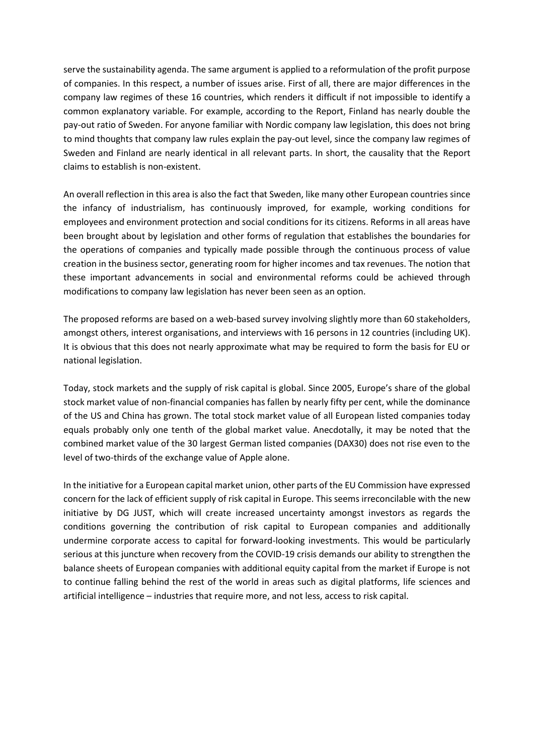serve the sustainability agenda. The same argument is applied to a reformulation of the profit purpose of companies. In this respect, a number of issues arise. First of all, there are major differences in the company law regimes of these 16 countries, which renders it difficult if not impossible to identify a common explanatory variable. For example, according to the Report, Finland has nearly double the pay-out ratio of Sweden. For anyone familiar with Nordic company law legislation, this does not bring to mind thoughts that company law rules explain the pay-out level, since the company law regimes of Sweden and Finland are nearly identical in all relevant parts. In short, the causality that the Report claims to establish is non-existent.

An overall reflection in this area is also the fact that Sweden, like many other European countries since the infancy of industrialism, has continuously improved, for example, working conditions for employees and environment protection and social conditions for its citizens. Reforms in all areas have been brought about by legislation and other forms of regulation that establishes the boundaries for the operations of companies and typically made possible through the continuous process of value creation in the business sector, generating room for higher incomes and tax revenues. The notion that these important advancements in social and environmental reforms could be achieved through modifications to company law legislation has never been seen as an option.

The proposed reforms are based on a web-based survey involving slightly more than 60 stakeholders, amongst others, interest organisations, and interviews with 16 persons in 12 countries (including UK). It is obvious that this does not nearly approximate what may be required to form the basis for EU or national legislation.

Today, stock markets and the supply of risk capital is global. Since 2005, Europe's share of the global stock market value of non-financial companies has fallen by nearly fifty per cent, while the dominance of the US and China has grown. The total stock market value of all European listed companies today equals probably only one tenth of the global market value. Anecdotally, it may be noted that the combined market value of the 30 largest German listed companies (DAX30) does not rise even to the level of two-thirds of the exchange value of Apple alone.

In the initiative for a European capital market union, other parts of the EU Commission have expressed concern for the lack of efficient supply of risk capital in Europe. This seems irreconcilable with the new initiative by DG JUST, which will create increased uncertainty amongst investors as regards the conditions governing the contribution of risk capital to European companies and additionally undermine corporate access to capital for forward-looking investments. This would be particularly serious at this juncture when recovery from the COVID-19 crisis demands our ability to strengthen the balance sheets of European companies with additional equity capital from the market if Europe is not to continue falling behind the rest of the world in areas such as digital platforms, life sciences and artificial intelligence – industries that require more, and not less, access to risk capital.